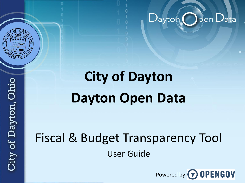

# **City of Dayton Dayton Open Data**

## Fiscal & Budget Transparency Tool User Guide



)pen $\mathsf{D}$ ata

 $\mathsf{Dayton}(\Box)$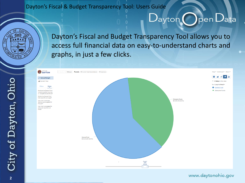Dayton's Fiscal and Budget Transparency Tool allows you to access full financial data on easy-to-understand charts and graphs, in just a few clicks.

 $\mathsf{Dayton}$  (



#### www.daytonohio.gov

 $\bigcirc$  pen  $D$ ata

City of Dayton, Ohio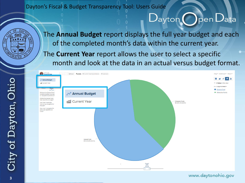

The **Annual Budget** report displays the full year budget and each of the completed month's data within the current year. The **Current Year** report allows the user to select a specific month and look at the data in an actual versus budget format.



www.daytonohio.gov

 $D$ ayton ( ) pen  $D$ ata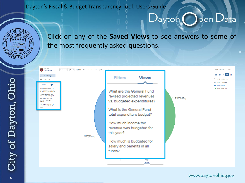

Click on any of the **Saved Views** to see answers to some of the most frequently asked questions.

| <b>O CITY OF</b><br>D Reset Funds T Current Year Expenditures T Expense<br>$\leftarrow$ Back                                                                                                                                                                                                                    |                                             |                                                                                                                                                      |                                                 |                                                                                 |
|-----------------------------------------------------------------------------------------------------------------------------------------------------------------------------------------------------------------------------------------------------------------------------------------------------------------|---------------------------------------------|------------------------------------------------------------------------------------------------------------------------------------------------------|-------------------------------------------------|---------------------------------------------------------------------------------|
| Annual Budget<br>Current Year<br><b>Views</b><br>Filters                                                                                                                                                                                                                                                        |                                             | <b>Views</b><br><b>Filters</b>                                                                                                                       |                                                 | $\bullet$<br>L<br>4 Notes in this view<br>Sort Large to Small .<br>General Fund |
| $\overline{\phantom{a}}$<br>What are the General Fund<br>revised projected revenues<br>vs. budgeted expenditures?<br>What is the General Fund<br>total expenditure budget?<br>How much income tax<br>revenue was budgeted for<br>this year?<br>How much is budgeted for<br>salary and benefits in all<br>funds? |                                             | What are the General Fund<br>revised projected revenues<br>vs. budgeted expenditures?<br>What is the General Fund<br>total expenditure budget?       | <b>Enterprise Funds</b><br>\$64,910,448 (39.5%) | <b>C</b> Enterprise Funds                                                       |
|                                                                                                                                                                                                                                                                                                                 | <b>General Fund</b><br>\$99,328,894 (60.5%) | How much income tax<br>revenue was budgeted for<br>this year?                                                                                        |                                                 |                                                                                 |
|                                                                                                                                                                                                                                                                                                                 |                                             | How much is budgeted for<br>salary and benefits in all<br>funds?<br><b>August</b><br>2015<br>Actual<br>$\left\langle \right\rangle$<br>$\rightarrow$ |                                                 |                                                                                 |

#### www.daytonohio.gov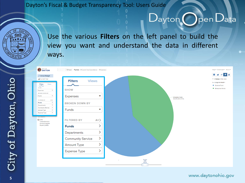## $D$ ayton (Den  $D$ ata



Use the various **Filters** on the left panel to build the view you want and understand the data in different ways.



#### www.daytonohio.gov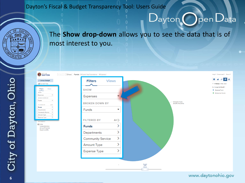

The **Show drop-down** allows you to see the data that is of most interest to you.

 $D$ ayton (Dpen Data



City of Dayton, Ohio **6**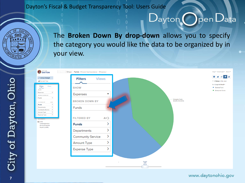The **Broken Down By drop-down** allows you to specify the category you would like the data to be organized by in your view.



#### www.daytonohio.gov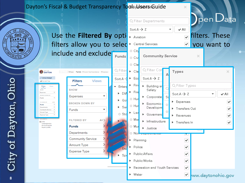

 $\times$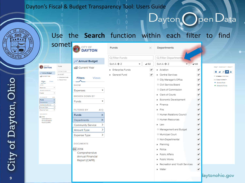

### Use the **Search** function within each filter to find

|                                      |                         | some                                       |  |
|--------------------------------------|-------------------------|--------------------------------------------|--|
| <b>CITY OF</b><br><b>DAYTON</b><br>嶐 |                         | Funds                                      |  |
| Annual Budget                        |                         | Q Filter Funds                             |  |
| Current Year                         |                         | Sort $A \rightarrow Z$<br>Enterprise Funds |  |
| <b>Filters</b><br><b>Views</b>       |                         | General Fund                               |  |
| <b>SHOW</b>                          |                         |                                            |  |
| <b>Expenses</b>                      |                         |                                            |  |
| <b>BROKEN DOWN BY</b>                |                         |                                            |  |
| <b>Funds</b>                         |                         |                                            |  |
| <b>FILTERED RY</b>                   | All <sup>&gt;</sup>     |                                            |  |
| Funds                                | $\overline{\mathsf{x}}$ |                                            |  |
| Departments                          | ×                       |                                            |  |
| <b>Community Service</b>             | >                       |                                            |  |

Expense Type  $\rightarrow$ **DOCUMENTS** 图 2014

Amount Type

| Comprehensive    |  |
|------------------|--|
| Annual Financial |  |
| Report (CAFR)    |  |

| sometl                                                     | CITY OF<br>Œ<br><b>DAYTON</b>            | Funds                       | ×                         | Departments                                 |                           |                                                           |
|------------------------------------------------------------|------------------------------------------|-----------------------------|---------------------------|---------------------------------------------|---------------------------|-----------------------------------------------------------|
|                                                            |                                          | Q Filter Funds              |                           | Q Filter Departments                        |                           |                                                           |
|                                                            | Annual Budget                            | Sort $A \rightarrow Z$<br>٠ | $\blacktriangleright$ All | Sort $A \rightarrow Z$                      | $\blacktriangleright$ All |                                                           |
| Funds<br>Q Filter Funds                                    | Current Year                             | <b>Enterprise Funds</b>     | ✔                         | Aviation                                    | ✔                         | Help * Download * Share *<br>$\bullet$ in<br>×<br>≼<br>a. |
| $Sort A \rightarrow Z$<br>Enterprise Funds<br>General Fund | <b>Views</b><br><b>Filters</b>           | General Fund                | ✔                         | Central Services<br>O City Manager's Office | ✔<br>✔                    | <b>甲 4 Notes in this view</b><br>Sort Large to Small .    |
|                                                            | <b>SHOW</b>                              |                             |                           | O Civil Service Board                       | ᢦ                         | General Fund<br><b>Enterprise Funds</b>                   |
| $\mathbf{v}$                                               | <b>Expenses</b>                          |                             |                           | O Clerk of Commission                       | ✔                         |                                                           |
| $\bar{\mathbf{v}}$<br>All                                  | <b>BROKEN DOWN BY</b>                    |                             |                           | Clerk of Courts                             | ✔                         |                                                           |
| $\frac{x}{x}$                                              | Funds<br>-                               |                             |                           | Economic Development                        | ✔                         |                                                           |
| $\frac{1}{2}$                                              |                                          |                             |                           | Finance                                     | ᢦ                         |                                                           |
| $\rightarrow$                                              | <b>FILTERED BY</b><br>All                |                             |                           | $\triangleright$ Fire                       | ✔                         |                                                           |
|                                                            | <b>Funds</b><br>$\times$                 |                             |                           | O Human Relations Council                   | ᢦ                         |                                                           |
|                                                            | ×<br>Departments                         |                             |                           | O Human Resources                           | ᢦ                         |                                                           |
|                                                            | ⋋<br>Community Service                   |                             |                           | $\blacktriangleright$ Law                   | ᢦ                         |                                                           |
|                                                            | ⋗<br>Amount Type                         |                             |                           | O Management and Budget                     | ✔                         |                                                           |
|                                                            | ><br>Expense Type                        |                             |                           | O Municipal Court                           | ✔                         |                                                           |
|                                                            |                                          |                             |                           | O Non-Departmental                          | ✔                         |                                                           |
|                                                            | <b>DOCUMENTS</b>                         |                             |                           | Planning                                    | ✔                         |                                                           |
|                                                            | 画 2014                                   |                             |                           | Police                                      | ✔                         |                                                           |
|                                                            | Comprehensive<br><b>Annual Financial</b> |                             |                           | Public Affairs                              | ✔                         |                                                           |
|                                                            | Report (CAFR)                            |                             |                           | Public Works                                | ✔                         |                                                           |
|                                                            |                                          |                             |                           | Recreation and Youth Services               | ✔                         |                                                           |
|                                                            |                                          |                             |                           | $\triangleright$ Water                      | ✔                         |                                                           |
|                                                            |                                          |                             |                           |                                             |                           | laytonohio.gov                                            |

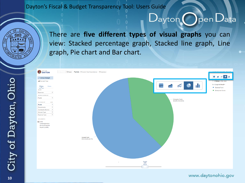

There are **five different types of visual graphs** you can view: Stacked percentage graph, Stacked line graph, Line graph, Pie chart and Bar chart.



#### www.daytonohio.gov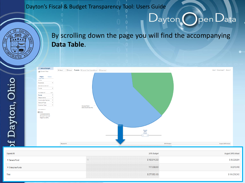#### By scrolling down the page you will find the accompanying **Data Table**. Annual Budget Holn Y Dougload Y Sharp Y ← Back **A** D Reset Funds (T Current Year Expenditures) (T Expenses Current Year Filters of Dayton, Ohio **SHOW** Expenses **BROKEN DOWN BY** Funds **FILTERED BY** ALL<sup>4</sup> Funds Departments **Community Service** Amount Type Expense Type **General Fund** \$99,328,894 (60.5%) **DOCUMENTS** 2014 Comprehensive Annual Financial Report (CAFR) August<br>2015<br>Actual Expand All 2015 Budget August 2015 Actual

| <b>Expand All</b>  | 2015 Budget   | August 2015 Actual |
|--------------------|---------------|--------------------|
| General Fund       | \$160,914,300 | \$99,328,894       |
| ▶ Enterprise Funds | 117,038,800   | 64,910,448         |
| Total              | \$277,953,100 | \$164,239,342      |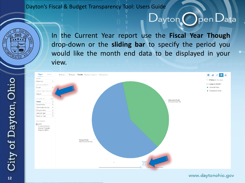

In the Current Year report use the **Fiscal Year Though** drop-down or the **sliding bar** to specify the period you would like the month end data to be displayed in your view.



#### www.daytonohio.gov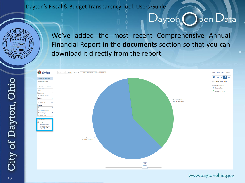

We've added the most recent Comprehensive Annual Financial Report in the **documents** section so that you can download it directly from the report.



#### www.daytonohio.gov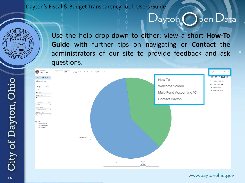Use the help drop-down to either: view a short **How-To Guide** with further tips on navigating or **Contact** the administrators of our site to provide feedback and ask questions.



#### www.daytonohio.gov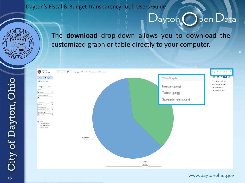

## The **download** drop-down allows you to download the customized graph or table directly to your computer.



#### www.daytonohio.gov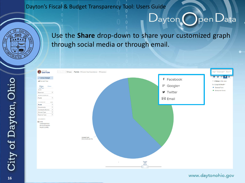

### Use the **Share** drop-down to share your customized graph through social media or through email.



#### www.daytonohio.gov